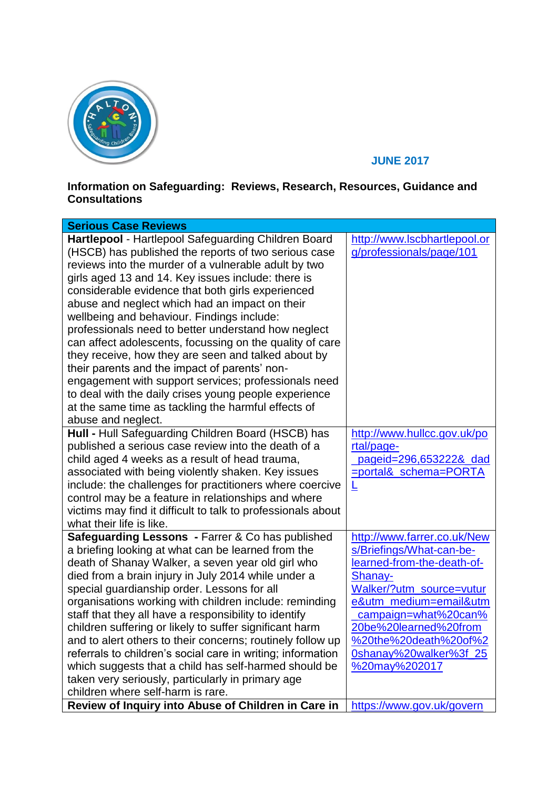

## **JUNE 2017**

## **Information on Safeguarding: Reviews, Research, Resources, Guidance and Consultations**

| <b>Serious Case Reviews</b>                                                                                                                                                                                                                                                                                                                                                                                                                                                                                                                                                                                                                                                                                                     |                                                                                                                                                                                                                                                                             |
|---------------------------------------------------------------------------------------------------------------------------------------------------------------------------------------------------------------------------------------------------------------------------------------------------------------------------------------------------------------------------------------------------------------------------------------------------------------------------------------------------------------------------------------------------------------------------------------------------------------------------------------------------------------------------------------------------------------------------------|-----------------------------------------------------------------------------------------------------------------------------------------------------------------------------------------------------------------------------------------------------------------------------|
| Hartlepool - Hartlepool Safeguarding Children Board<br>(HSCB) has published the reports of two serious case<br>reviews into the murder of a vulnerable adult by two<br>girls aged 13 and 14. Key issues include: there is<br>considerable evidence that both girls experienced<br>abuse and neglect which had an impact on their<br>wellbeing and behaviour. Findings include:<br>professionals need to better understand how neglect<br>can affect adolescents, focussing on the quality of care                                                                                                                                                                                                                               | http://www.lscbhartlepool.or<br>g/professionals/page/101                                                                                                                                                                                                                    |
| they receive, how they are seen and talked about by<br>their parents and the impact of parents' non-<br>engagement with support services; professionals need<br>to deal with the daily crises young people experience<br>at the same time as tackling the harmful effects of<br>abuse and neglect.                                                                                                                                                                                                                                                                                                                                                                                                                              |                                                                                                                                                                                                                                                                             |
| Hull - Hull Safeguarding Children Board (HSCB) has<br>published a serious case review into the death of a<br>child aged 4 weeks as a result of head trauma,<br>associated with being violently shaken. Key issues<br>include: the challenges for practitioners where coercive<br>control may be a feature in relationships and where<br>victims may find it difficult to talk to professionals about<br>what their life is like.                                                                                                                                                                                                                                                                                                | http://www.hullcc.gov.uk/po<br>rtal/page-<br>pageid=296,653222& dad<br><u>=portal&amp; schema=PORTA</u><br>╚                                                                                                                                                                |
| Safeguarding Lessons - Farrer & Co has published<br>a briefing looking at what can be learned from the<br>death of Shanay Walker, a seven year old girl who<br>died from a brain injury in July 2014 while under a<br>special guardianship order. Lessons for all<br>organisations working with children include: reminding<br>staff that they all have a responsibility to identify<br>children suffering or likely to suffer significant harm<br>and to alert others to their concerns; routinely follow up<br>referrals to children's social care in writing; information<br>which suggests that a child has self-harmed should be<br>taken very seriously, particularly in primary age<br>children where self-harm is rare. | http://www.farrer.co.uk/New<br>s/Briefings/What-can-be-<br>learned-from-the-death-of-<br>Shanay-<br>Walker/?utm_source=vutur<br>e&utm medium=email&utm<br>campaign=what%20can%<br>20be%20learned%20from<br>%20the%20death%20of%2<br>0shanay%20walker%3f_25<br>%20may%202017 |
| Review of Inquiry into Abuse of Children in Care in                                                                                                                                                                                                                                                                                                                                                                                                                                                                                                                                                                                                                                                                             | https://www.gov.uk/govern                                                                                                                                                                                                                                                   |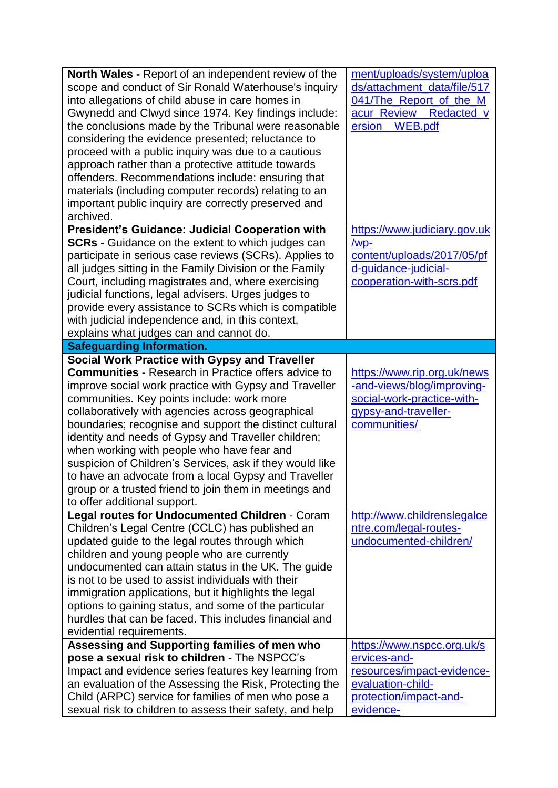| <b>North Wales - Report of an independent review of the</b><br>scope and conduct of Sir Ronald Waterhouse's inquiry<br>into allegations of child abuse in care homes in<br>Gwynedd and Clwyd since 1974. Key findings include:<br>the conclusions made by the Tribunal were reasonable<br>considering the evidence presented; reluctance to<br>proceed with a public inquiry was due to a cautious<br>approach rather than a protective attitude towards<br>offenders. Recommendations include: ensuring that<br>materials (including computer records) relating to an<br>important public inquiry are correctly preserved and<br>archived.                  | ment/uploads/system/uploa<br>ds/attachment_data/file/517<br>041/The_Report_of_the_M<br>acur_Review_<br>Redacted_v<br><b>WEB.pdf</b><br>ersion_ |
|--------------------------------------------------------------------------------------------------------------------------------------------------------------------------------------------------------------------------------------------------------------------------------------------------------------------------------------------------------------------------------------------------------------------------------------------------------------------------------------------------------------------------------------------------------------------------------------------------------------------------------------------------------------|------------------------------------------------------------------------------------------------------------------------------------------------|
| <b>President's Guidance: Judicial Cooperation with</b><br><b>SCRs</b> - Guidance on the extent to which judges can<br>participate in serious case reviews (SCRs). Applies to<br>all judges sitting in the Family Division or the Family<br>Court, including magistrates and, where exercising<br>judicial functions, legal advisers. Urges judges to<br>provide every assistance to SCRs which is compatible<br>with judicial independence and, in this context,<br>explains what judges can and cannot do.                                                                                                                                                  | https://www.judiciary.gov.uk<br>/wp-<br>content/uploads/2017/05/pf<br>d-guidance-judicial-<br>cooperation-with-scrs.pdf                        |
| <b>Safeguarding Information.</b>                                                                                                                                                                                                                                                                                                                                                                                                                                                                                                                                                                                                                             |                                                                                                                                                |
| <b>Social Work Practice with Gypsy and Traveller</b><br><b>Communities</b> - Research in Practice offers advice to<br>improve social work practice with Gypsy and Traveller<br>communities. Key points include: work more<br>collaboratively with agencies across geographical<br>boundaries; recognise and support the distinct cultural<br>identity and needs of Gypsy and Traveller children;<br>when working with people who have fear and<br>suspicion of Children's Services, ask if they would like<br>to have an advocate from a local Gypsy and Traveller<br>group or a trusted friend to join them in meetings and<br>to offer additional support. | https://www.rip.org.uk/news<br>-and-views/blog/improving-<br>social-work-practice-with-<br>gypsy-and-traveller-<br>communities/                |
| Legal routes for Undocumented Children - Coram<br>Children's Legal Centre (CCLC) has published an<br>updated guide to the legal routes through which<br>children and young people who are currently<br>undocumented can attain status in the UK. The guide<br>is not to be used to assist individuals with their<br>immigration applications, but it highlights the legal<br>options to gaining status, and some of the particular<br>hurdles that can be faced. This includes financial and<br>evidential requirements.                                                                                                                                     | http://www.childrenslegalce<br>ntre.com/legal-routes-<br>undocumented-children/                                                                |
| Assessing and Supporting families of men who<br>pose a sexual risk to children - The NSPCC's<br>Impact and evidence series features key learning from<br>an evaluation of the Assessing the Risk, Protecting the<br>Child (ARPC) service for families of men who pose a<br>sexual risk to children to assess their safety, and help                                                                                                                                                                                                                                                                                                                          | https://www.nspcc.org.uk/s<br>ervices-and-<br>resources/impact-evidence-<br>evaluation-child-<br>protection/impact-and-<br>evidence-           |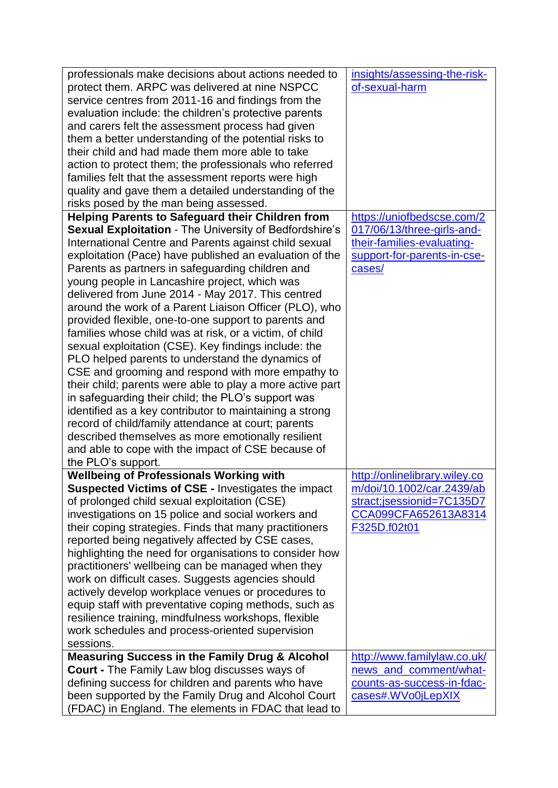| professionals make decisions about actions needed to<br>protect them. ARPC was delivered at nine NSPCC<br>service centres from 2011-16 and findings from the<br>evaluation include: the children's protective parents<br>and carers felt the assessment process had given<br>them a better understanding of the potential risks to<br>their child and had made them more able to take<br>action to protect them; the professionals who referred<br>families felt that the assessment reports were high<br>quality and gave them a detailed understanding of the<br>risks posed by the man being assessed.                                                                                                                                                                                                                                                                                                                                                                                                                                                                                                            | insights/assessing-the-risk-<br>of-sexual-harm                                                                                  |
|----------------------------------------------------------------------------------------------------------------------------------------------------------------------------------------------------------------------------------------------------------------------------------------------------------------------------------------------------------------------------------------------------------------------------------------------------------------------------------------------------------------------------------------------------------------------------------------------------------------------------------------------------------------------------------------------------------------------------------------------------------------------------------------------------------------------------------------------------------------------------------------------------------------------------------------------------------------------------------------------------------------------------------------------------------------------------------------------------------------------|---------------------------------------------------------------------------------------------------------------------------------|
| <b>Helping Parents to Safeguard their Children from</b><br>Sexual Exploitation - The University of Bedfordshire's<br>International Centre and Parents against child sexual<br>exploitation (Pace) have published an evaluation of the<br>Parents as partners in safeguarding children and<br>young people in Lancashire project, which was<br>delivered from June 2014 - May 2017. This centred<br>around the work of a Parent Liaison Officer (PLO), who<br>provided flexible, one-to-one support to parents and<br>families whose child was at risk, or a victim, of child<br>sexual exploitation (CSE). Key findings include: the<br>PLO helped parents to understand the dynamics of<br>CSE and grooming and respond with more empathy to<br>their child; parents were able to play a more active part<br>in safeguarding their child; the PLO's support was<br>identified as a key contributor to maintaining a strong<br>record of child/family attendance at court; parents<br>described themselves as more emotionally resilient<br>and able to cope with the impact of CSE because of<br>the PLO's support. | https://uniofbedscse.com/2<br>017/06/13/three-girls-and-<br>their-families-evaluating-<br>support-for-parents-in-cse-<br>cases/ |
| <b>Wellbeing of Professionals Working with</b><br><b>Suspected Victims of CSE - Investigates the impact</b><br>of prolonged child sexual exploitation (CSE)<br>investigations on 15 police and social workers and<br>their coping strategies. Finds that many practitioners<br>reported being negatively affected by CSE cases,<br>highlighting the need for organisations to consider how<br>practitioners' wellbeing can be managed when they<br>work on difficult cases. Suggests agencies should<br>actively develop workplace venues or procedures to<br>equip staff with preventative coping methods, such as<br>resilience training, mindfulness workshops, flexible<br>work schedules and process-oriented supervision<br>sessions.                                                                                                                                                                                                                                                                                                                                                                          | http://onlinelibrary.wiley.co<br>m/doi/10.1002/car.2439/ab<br>stract;jsessionid=7C135D7<br>CCA099CFA652613A8314<br>F325D.f02t01 |
| <b>Measuring Success in the Family Drug &amp; Alcohol</b><br>Court - The Family Law blog discusses ways of<br>defining success for children and parents who have<br>been supported by the Family Drug and Alcohol Court<br>(FDAC) in England. The elements in FDAC that lead to                                                                                                                                                                                                                                                                                                                                                                                                                                                                                                                                                                                                                                                                                                                                                                                                                                      | http://www.familylaw.co.uk/<br>news_and_comment/what-<br>counts-as-success-in-fdac-<br>cases#.WVo0jLepXIX                       |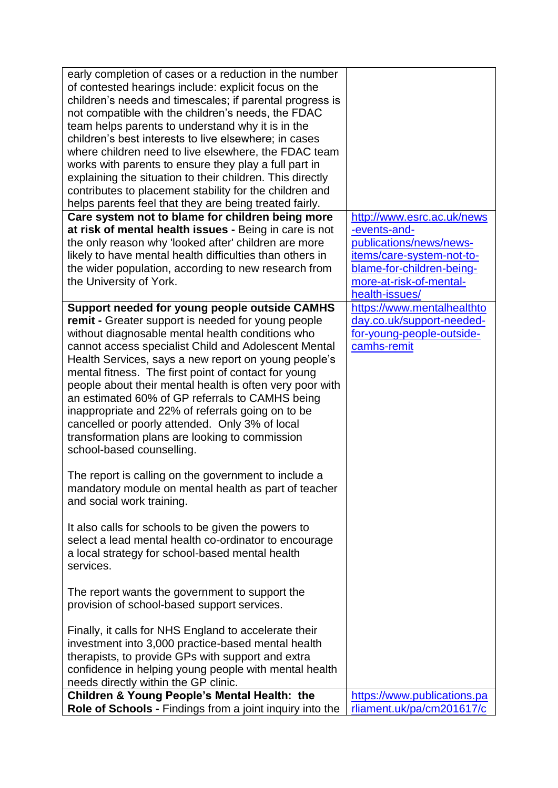| early completion of cases or a reduction in the number<br>of contested hearings include: explicit focus on the<br>children's needs and timescales; if parental progress is<br>not compatible with the children's needs, the FDAC<br>team helps parents to understand why it is in the<br>children's best interests to live elsewhere; in cases<br>where children need to live elsewhere, the FDAC team<br>works with parents to ensure they play a full part in<br>explaining the situation to their children. This directly<br>contributes to placement stability for the children and<br>helps parents feel that they are being treated fairly.<br>Care system not to blame for children being more                                                                                                                                                                                                                                                                                                                                                                                                                                                                                                                                                                                                                                   | http://www.esrc.ac.uk/news                                                                                            |
|-----------------------------------------------------------------------------------------------------------------------------------------------------------------------------------------------------------------------------------------------------------------------------------------------------------------------------------------------------------------------------------------------------------------------------------------------------------------------------------------------------------------------------------------------------------------------------------------------------------------------------------------------------------------------------------------------------------------------------------------------------------------------------------------------------------------------------------------------------------------------------------------------------------------------------------------------------------------------------------------------------------------------------------------------------------------------------------------------------------------------------------------------------------------------------------------------------------------------------------------------------------------------------------------------------------------------------------------|-----------------------------------------------------------------------------------------------------------------------|
| at risk of mental health issues - Being in care is not                                                                                                                                                                                                                                                                                                                                                                                                                                                                                                                                                                                                                                                                                                                                                                                                                                                                                                                                                                                                                                                                                                                                                                                                                                                                                  | -events-and-                                                                                                          |
| the only reason why 'looked after' children are more                                                                                                                                                                                                                                                                                                                                                                                                                                                                                                                                                                                                                                                                                                                                                                                                                                                                                                                                                                                                                                                                                                                                                                                                                                                                                    | publications/news/news-                                                                                               |
| likely to have mental health difficulties than others in                                                                                                                                                                                                                                                                                                                                                                                                                                                                                                                                                                                                                                                                                                                                                                                                                                                                                                                                                                                                                                                                                                                                                                                                                                                                                | items/care-system-not-to-                                                                                             |
| the wider population, according to new research from                                                                                                                                                                                                                                                                                                                                                                                                                                                                                                                                                                                                                                                                                                                                                                                                                                                                                                                                                                                                                                                                                                                                                                                                                                                                                    | blame-for-children-being-                                                                                             |
| the University of York.                                                                                                                                                                                                                                                                                                                                                                                                                                                                                                                                                                                                                                                                                                                                                                                                                                                                                                                                                                                                                                                                                                                                                                                                                                                                                                                 | more-at-risk-of-mental-                                                                                               |
| Support needed for young people outside CAMHS<br>remit - Greater support is needed for young people<br>without diagnosable mental health conditions who<br>cannot access specialist Child and Adolescent Mental<br>Health Services, says a new report on young people's<br>mental fitness. The first point of contact for young<br>people about their mental health is often very poor with<br>an estimated 60% of GP referrals to CAMHS being<br>inappropriate and 22% of referrals going on to be<br>cancelled or poorly attended. Only 3% of local<br>transformation plans are looking to commission<br>school-based counselling.<br>The report is calling on the government to include a<br>mandatory module on mental health as part of teacher<br>and social work training.<br>It also calls for schools to be given the powers to<br>select a lead mental health co-ordinator to encourage<br>a local strategy for school-based mental health<br>services.<br>The report wants the government to support the<br>provision of school-based support services.<br>Finally, it calls for NHS England to accelerate their<br>investment into 3,000 practice-based mental health<br>therapists, to provide GPs with support and extra<br>confidence in helping young people with mental health<br>needs directly within the GP clinic. | health-issues/<br>https://www.mentalhealthto<br>day.co.uk/support-needed-<br>for-young-people-outside-<br>camhs-remit |
| <b>Children &amp; Young People's Mental Health: the</b>                                                                                                                                                                                                                                                                                                                                                                                                                                                                                                                                                                                                                                                                                                                                                                                                                                                                                                                                                                                                                                                                                                                                                                                                                                                                                 | https://www.publications.pa                                                                                           |
| Role of Schools - Findings from a joint inquiry into the                                                                                                                                                                                                                                                                                                                                                                                                                                                                                                                                                                                                                                                                                                                                                                                                                                                                                                                                                                                                                                                                                                                                                                                                                                                                                | rliament.uk/pa/cm201617/c                                                                                             |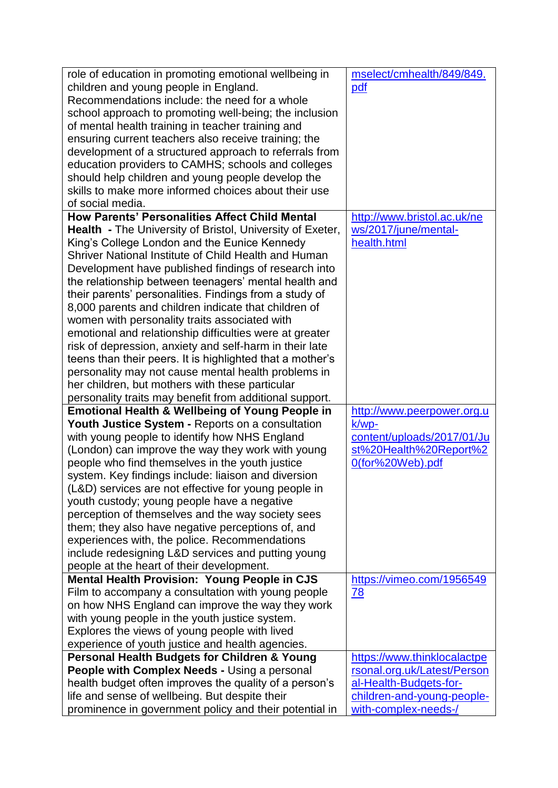| development of a structured approach to referrals from<br>education providers to CAMHS; schools and colleges<br>should help children and young people develop the<br>skills to make more informed choices about their use<br>of social media.<br><b>How Parents' Personalities Affect Child Mental</b><br>http://www.bristol.ac.uk/ne<br>ws/2017/june/mental-<br><b>Health</b> - The University of Bristol, University of Exeter,<br>King's College London and the Eunice Kennedy<br>health.html<br>Shriver National Institute of Child Health and Human<br>Development have published findings of research into<br>the relationship between teenagers' mental health and<br>their parents' personalities. Findings from a study of<br>8,000 parents and children indicate that children of<br>women with personality traits associated with<br>emotional and relationship difficulties were at greater<br>risk of depression, anxiety and self-harm in their late<br>teens than their peers. It is highlighted that a mother's<br>personality may not cause mental health problems in<br>her children, but mothers with these particular<br>personality traits may benefit from additional support.<br><b>Emotional Health &amp; Wellbeing of Young People in</b><br>http://www.peerpower.org.u<br>Youth Justice System - Reports on a consultation<br>$k/wp-$<br>with young people to identify how NHS England<br>content/uploads/2017/01/Ju<br>(London) can improve the way they work with young<br>st%20Health%20Report%2<br>people who find themselves in the youth justice<br>0(for%20Web).pdf<br>system. Key findings include: liaison and diversion<br>(L&D) services are not effective for young people in<br>youth custody; young people have a negative<br>perception of themselves and the way society sees<br>them; they also have negative perceptions of, and<br>experiences with, the police. Recommendations<br>include redesigning L&D services and putting young<br>people at the heart of their development.<br><b>Mental Health Provision: Young People in CJS</b><br>https://vimeo.com/1956549<br>Film to accompany a consultation with young people<br>78<br>on how NHS England can improve the way they work<br>with young people in the youth justice system.<br>Explores the views of young people with lived<br>experience of youth justice and health agencies.<br>Personal Health Budgets for Children & Young<br>https://www.thinklocalactpe<br>rsonal.org.uk/Latest/Person<br><b>People with Complex Needs - Using a personal</b><br>health budget often improves the quality of a person's<br>al-Health-Budgets-for-<br>life and sense of wellbeing. But despite their<br>children-and-young-people-<br>prominence in government policy and their potential in<br>with-complex-needs-/ | role of education in promoting emotional wellbeing in<br>children and young people in England.<br>Recommendations include: the need for a whole<br>school approach to promoting well-being; the inclusion<br>of mental health training in teacher training and<br>ensuring current teachers also receive training; the | mselect/cmhealth/849/849.<br>pdf |
|------------------------------------------------------------------------------------------------------------------------------------------------------------------------------------------------------------------------------------------------------------------------------------------------------------------------------------------------------------------------------------------------------------------------------------------------------------------------------------------------------------------------------------------------------------------------------------------------------------------------------------------------------------------------------------------------------------------------------------------------------------------------------------------------------------------------------------------------------------------------------------------------------------------------------------------------------------------------------------------------------------------------------------------------------------------------------------------------------------------------------------------------------------------------------------------------------------------------------------------------------------------------------------------------------------------------------------------------------------------------------------------------------------------------------------------------------------------------------------------------------------------------------------------------------------------------------------------------------------------------------------------------------------------------------------------------------------------------------------------------------------------------------------------------------------------------------------------------------------------------------------------------------------------------------------------------------------------------------------------------------------------------------------------------------------------------------------------------------------------------------------------------------------------------------------------------------------------------------------------------------------------------------------------------------------------------------------------------------------------------------------------------------------------------------------------------------------------------------------------------------------------------------------------------------------------------------------------------------------------------------------------------------------------------------------------------------------------------------------------------------------------------------------------------------------------------|------------------------------------------------------------------------------------------------------------------------------------------------------------------------------------------------------------------------------------------------------------------------------------------------------------------------|----------------------------------|
|                                                                                                                                                                                                                                                                                                                                                                                                                                                                                                                                                                                                                                                                                                                                                                                                                                                                                                                                                                                                                                                                                                                                                                                                                                                                                                                                                                                                                                                                                                                                                                                                                                                                                                                                                                                                                                                                                                                                                                                                                                                                                                                                                                                                                                                                                                                                                                                                                                                                                                                                                                                                                                                                                                                                                                                                                        |                                                                                                                                                                                                                                                                                                                        |                                  |
|                                                                                                                                                                                                                                                                                                                                                                                                                                                                                                                                                                                                                                                                                                                                                                                                                                                                                                                                                                                                                                                                                                                                                                                                                                                                                                                                                                                                                                                                                                                                                                                                                                                                                                                                                                                                                                                                                                                                                                                                                                                                                                                                                                                                                                                                                                                                                                                                                                                                                                                                                                                                                                                                                                                                                                                                                        |                                                                                                                                                                                                                                                                                                                        |                                  |
|                                                                                                                                                                                                                                                                                                                                                                                                                                                                                                                                                                                                                                                                                                                                                                                                                                                                                                                                                                                                                                                                                                                                                                                                                                                                                                                                                                                                                                                                                                                                                                                                                                                                                                                                                                                                                                                                                                                                                                                                                                                                                                                                                                                                                                                                                                                                                                                                                                                                                                                                                                                                                                                                                                                                                                                                                        |                                                                                                                                                                                                                                                                                                                        |                                  |
|                                                                                                                                                                                                                                                                                                                                                                                                                                                                                                                                                                                                                                                                                                                                                                                                                                                                                                                                                                                                                                                                                                                                                                                                                                                                                                                                                                                                                                                                                                                                                                                                                                                                                                                                                                                                                                                                                                                                                                                                                                                                                                                                                                                                                                                                                                                                                                                                                                                                                                                                                                                                                                                                                                                                                                                                                        |                                                                                                                                                                                                                                                                                                                        |                                  |
|                                                                                                                                                                                                                                                                                                                                                                                                                                                                                                                                                                                                                                                                                                                                                                                                                                                                                                                                                                                                                                                                                                                                                                                                                                                                                                                                                                                                                                                                                                                                                                                                                                                                                                                                                                                                                                                                                                                                                                                                                                                                                                                                                                                                                                                                                                                                                                                                                                                                                                                                                                                                                                                                                                                                                                                                                        |                                                                                                                                                                                                                                                                                                                        |                                  |
|                                                                                                                                                                                                                                                                                                                                                                                                                                                                                                                                                                                                                                                                                                                                                                                                                                                                                                                                                                                                                                                                                                                                                                                                                                                                                                                                                                                                                                                                                                                                                                                                                                                                                                                                                                                                                                                                                                                                                                                                                                                                                                                                                                                                                                                                                                                                                                                                                                                                                                                                                                                                                                                                                                                                                                                                                        |                                                                                                                                                                                                                                                                                                                        |                                  |
|                                                                                                                                                                                                                                                                                                                                                                                                                                                                                                                                                                                                                                                                                                                                                                                                                                                                                                                                                                                                                                                                                                                                                                                                                                                                                                                                                                                                                                                                                                                                                                                                                                                                                                                                                                                                                                                                                                                                                                                                                                                                                                                                                                                                                                                                                                                                                                                                                                                                                                                                                                                                                                                                                                                                                                                                                        |                                                                                                                                                                                                                                                                                                                        |                                  |
|                                                                                                                                                                                                                                                                                                                                                                                                                                                                                                                                                                                                                                                                                                                                                                                                                                                                                                                                                                                                                                                                                                                                                                                                                                                                                                                                                                                                                                                                                                                                                                                                                                                                                                                                                                                                                                                                                                                                                                                                                                                                                                                                                                                                                                                                                                                                                                                                                                                                                                                                                                                                                                                                                                                                                                                                                        |                                                                                                                                                                                                                                                                                                                        |                                  |
|                                                                                                                                                                                                                                                                                                                                                                                                                                                                                                                                                                                                                                                                                                                                                                                                                                                                                                                                                                                                                                                                                                                                                                                                                                                                                                                                                                                                                                                                                                                                                                                                                                                                                                                                                                                                                                                                                                                                                                                                                                                                                                                                                                                                                                                                                                                                                                                                                                                                                                                                                                                                                                                                                                                                                                                                                        |                                                                                                                                                                                                                                                                                                                        |                                  |
|                                                                                                                                                                                                                                                                                                                                                                                                                                                                                                                                                                                                                                                                                                                                                                                                                                                                                                                                                                                                                                                                                                                                                                                                                                                                                                                                                                                                                                                                                                                                                                                                                                                                                                                                                                                                                                                                                                                                                                                                                                                                                                                                                                                                                                                                                                                                                                                                                                                                                                                                                                                                                                                                                                                                                                                                                        |                                                                                                                                                                                                                                                                                                                        |                                  |
|                                                                                                                                                                                                                                                                                                                                                                                                                                                                                                                                                                                                                                                                                                                                                                                                                                                                                                                                                                                                                                                                                                                                                                                                                                                                                                                                                                                                                                                                                                                                                                                                                                                                                                                                                                                                                                                                                                                                                                                                                                                                                                                                                                                                                                                                                                                                                                                                                                                                                                                                                                                                                                                                                                                                                                                                                        |                                                                                                                                                                                                                                                                                                                        |                                  |
|                                                                                                                                                                                                                                                                                                                                                                                                                                                                                                                                                                                                                                                                                                                                                                                                                                                                                                                                                                                                                                                                                                                                                                                                                                                                                                                                                                                                                                                                                                                                                                                                                                                                                                                                                                                                                                                                                                                                                                                                                                                                                                                                                                                                                                                                                                                                                                                                                                                                                                                                                                                                                                                                                                                                                                                                                        |                                                                                                                                                                                                                                                                                                                        |                                  |
|                                                                                                                                                                                                                                                                                                                                                                                                                                                                                                                                                                                                                                                                                                                                                                                                                                                                                                                                                                                                                                                                                                                                                                                                                                                                                                                                                                                                                                                                                                                                                                                                                                                                                                                                                                                                                                                                                                                                                                                                                                                                                                                                                                                                                                                                                                                                                                                                                                                                                                                                                                                                                                                                                                                                                                                                                        |                                                                                                                                                                                                                                                                                                                        |                                  |
|                                                                                                                                                                                                                                                                                                                                                                                                                                                                                                                                                                                                                                                                                                                                                                                                                                                                                                                                                                                                                                                                                                                                                                                                                                                                                                                                                                                                                                                                                                                                                                                                                                                                                                                                                                                                                                                                                                                                                                                                                                                                                                                                                                                                                                                                                                                                                                                                                                                                                                                                                                                                                                                                                                                                                                                                                        |                                                                                                                                                                                                                                                                                                                        |                                  |
|                                                                                                                                                                                                                                                                                                                                                                                                                                                                                                                                                                                                                                                                                                                                                                                                                                                                                                                                                                                                                                                                                                                                                                                                                                                                                                                                                                                                                                                                                                                                                                                                                                                                                                                                                                                                                                                                                                                                                                                                                                                                                                                                                                                                                                                                                                                                                                                                                                                                                                                                                                                                                                                                                                                                                                                                                        |                                                                                                                                                                                                                                                                                                                        |                                  |
|                                                                                                                                                                                                                                                                                                                                                                                                                                                                                                                                                                                                                                                                                                                                                                                                                                                                                                                                                                                                                                                                                                                                                                                                                                                                                                                                                                                                                                                                                                                                                                                                                                                                                                                                                                                                                                                                                                                                                                                                                                                                                                                                                                                                                                                                                                                                                                                                                                                                                                                                                                                                                                                                                                                                                                                                                        |                                                                                                                                                                                                                                                                                                                        |                                  |
|                                                                                                                                                                                                                                                                                                                                                                                                                                                                                                                                                                                                                                                                                                                                                                                                                                                                                                                                                                                                                                                                                                                                                                                                                                                                                                                                                                                                                                                                                                                                                                                                                                                                                                                                                                                                                                                                                                                                                                                                                                                                                                                                                                                                                                                                                                                                                                                                                                                                                                                                                                                                                                                                                                                                                                                                                        |                                                                                                                                                                                                                                                                                                                        |                                  |
|                                                                                                                                                                                                                                                                                                                                                                                                                                                                                                                                                                                                                                                                                                                                                                                                                                                                                                                                                                                                                                                                                                                                                                                                                                                                                                                                                                                                                                                                                                                                                                                                                                                                                                                                                                                                                                                                                                                                                                                                                                                                                                                                                                                                                                                                                                                                                                                                                                                                                                                                                                                                                                                                                                                                                                                                                        |                                                                                                                                                                                                                                                                                                                        |                                  |
|                                                                                                                                                                                                                                                                                                                                                                                                                                                                                                                                                                                                                                                                                                                                                                                                                                                                                                                                                                                                                                                                                                                                                                                                                                                                                                                                                                                                                                                                                                                                                                                                                                                                                                                                                                                                                                                                                                                                                                                                                                                                                                                                                                                                                                                                                                                                                                                                                                                                                                                                                                                                                                                                                                                                                                                                                        |                                                                                                                                                                                                                                                                                                                        |                                  |
|                                                                                                                                                                                                                                                                                                                                                                                                                                                                                                                                                                                                                                                                                                                                                                                                                                                                                                                                                                                                                                                                                                                                                                                                                                                                                                                                                                                                                                                                                                                                                                                                                                                                                                                                                                                                                                                                                                                                                                                                                                                                                                                                                                                                                                                                                                                                                                                                                                                                                                                                                                                                                                                                                                                                                                                                                        |                                                                                                                                                                                                                                                                                                                        |                                  |
|                                                                                                                                                                                                                                                                                                                                                                                                                                                                                                                                                                                                                                                                                                                                                                                                                                                                                                                                                                                                                                                                                                                                                                                                                                                                                                                                                                                                                                                                                                                                                                                                                                                                                                                                                                                                                                                                                                                                                                                                                                                                                                                                                                                                                                                                                                                                                                                                                                                                                                                                                                                                                                                                                                                                                                                                                        |                                                                                                                                                                                                                                                                                                                        |                                  |
|                                                                                                                                                                                                                                                                                                                                                                                                                                                                                                                                                                                                                                                                                                                                                                                                                                                                                                                                                                                                                                                                                                                                                                                                                                                                                                                                                                                                                                                                                                                                                                                                                                                                                                                                                                                                                                                                                                                                                                                                                                                                                                                                                                                                                                                                                                                                                                                                                                                                                                                                                                                                                                                                                                                                                                                                                        |                                                                                                                                                                                                                                                                                                                        |                                  |
|                                                                                                                                                                                                                                                                                                                                                                                                                                                                                                                                                                                                                                                                                                                                                                                                                                                                                                                                                                                                                                                                                                                                                                                                                                                                                                                                                                                                                                                                                                                                                                                                                                                                                                                                                                                                                                                                                                                                                                                                                                                                                                                                                                                                                                                                                                                                                                                                                                                                                                                                                                                                                                                                                                                                                                                                                        |                                                                                                                                                                                                                                                                                                                        |                                  |
|                                                                                                                                                                                                                                                                                                                                                                                                                                                                                                                                                                                                                                                                                                                                                                                                                                                                                                                                                                                                                                                                                                                                                                                                                                                                                                                                                                                                                                                                                                                                                                                                                                                                                                                                                                                                                                                                                                                                                                                                                                                                                                                                                                                                                                                                                                                                                                                                                                                                                                                                                                                                                                                                                                                                                                                                                        |                                                                                                                                                                                                                                                                                                                        |                                  |
|                                                                                                                                                                                                                                                                                                                                                                                                                                                                                                                                                                                                                                                                                                                                                                                                                                                                                                                                                                                                                                                                                                                                                                                                                                                                                                                                                                                                                                                                                                                                                                                                                                                                                                                                                                                                                                                                                                                                                                                                                                                                                                                                                                                                                                                                                                                                                                                                                                                                                                                                                                                                                                                                                                                                                                                                                        |                                                                                                                                                                                                                                                                                                                        |                                  |
|                                                                                                                                                                                                                                                                                                                                                                                                                                                                                                                                                                                                                                                                                                                                                                                                                                                                                                                                                                                                                                                                                                                                                                                                                                                                                                                                                                                                                                                                                                                                                                                                                                                                                                                                                                                                                                                                                                                                                                                                                                                                                                                                                                                                                                                                                                                                                                                                                                                                                                                                                                                                                                                                                                                                                                                                                        |                                                                                                                                                                                                                                                                                                                        |                                  |
|                                                                                                                                                                                                                                                                                                                                                                                                                                                                                                                                                                                                                                                                                                                                                                                                                                                                                                                                                                                                                                                                                                                                                                                                                                                                                                                                                                                                                                                                                                                                                                                                                                                                                                                                                                                                                                                                                                                                                                                                                                                                                                                                                                                                                                                                                                                                                                                                                                                                                                                                                                                                                                                                                                                                                                                                                        |                                                                                                                                                                                                                                                                                                                        |                                  |
|                                                                                                                                                                                                                                                                                                                                                                                                                                                                                                                                                                                                                                                                                                                                                                                                                                                                                                                                                                                                                                                                                                                                                                                                                                                                                                                                                                                                                                                                                                                                                                                                                                                                                                                                                                                                                                                                                                                                                                                                                                                                                                                                                                                                                                                                                                                                                                                                                                                                                                                                                                                                                                                                                                                                                                                                                        |                                                                                                                                                                                                                                                                                                                        |                                  |
|                                                                                                                                                                                                                                                                                                                                                                                                                                                                                                                                                                                                                                                                                                                                                                                                                                                                                                                                                                                                                                                                                                                                                                                                                                                                                                                                                                                                                                                                                                                                                                                                                                                                                                                                                                                                                                                                                                                                                                                                                                                                                                                                                                                                                                                                                                                                                                                                                                                                                                                                                                                                                                                                                                                                                                                                                        |                                                                                                                                                                                                                                                                                                                        |                                  |
|                                                                                                                                                                                                                                                                                                                                                                                                                                                                                                                                                                                                                                                                                                                                                                                                                                                                                                                                                                                                                                                                                                                                                                                                                                                                                                                                                                                                                                                                                                                                                                                                                                                                                                                                                                                                                                                                                                                                                                                                                                                                                                                                                                                                                                                                                                                                                                                                                                                                                                                                                                                                                                                                                                                                                                                                                        |                                                                                                                                                                                                                                                                                                                        |                                  |
|                                                                                                                                                                                                                                                                                                                                                                                                                                                                                                                                                                                                                                                                                                                                                                                                                                                                                                                                                                                                                                                                                                                                                                                                                                                                                                                                                                                                                                                                                                                                                                                                                                                                                                                                                                                                                                                                                                                                                                                                                                                                                                                                                                                                                                                                                                                                                                                                                                                                                                                                                                                                                                                                                                                                                                                                                        |                                                                                                                                                                                                                                                                                                                        |                                  |
|                                                                                                                                                                                                                                                                                                                                                                                                                                                                                                                                                                                                                                                                                                                                                                                                                                                                                                                                                                                                                                                                                                                                                                                                                                                                                                                                                                                                                                                                                                                                                                                                                                                                                                                                                                                                                                                                                                                                                                                                                                                                                                                                                                                                                                                                                                                                                                                                                                                                                                                                                                                                                                                                                                                                                                                                                        |                                                                                                                                                                                                                                                                                                                        |                                  |
|                                                                                                                                                                                                                                                                                                                                                                                                                                                                                                                                                                                                                                                                                                                                                                                                                                                                                                                                                                                                                                                                                                                                                                                                                                                                                                                                                                                                                                                                                                                                                                                                                                                                                                                                                                                                                                                                                                                                                                                                                                                                                                                                                                                                                                                                                                                                                                                                                                                                                                                                                                                                                                                                                                                                                                                                                        |                                                                                                                                                                                                                                                                                                                        |                                  |
|                                                                                                                                                                                                                                                                                                                                                                                                                                                                                                                                                                                                                                                                                                                                                                                                                                                                                                                                                                                                                                                                                                                                                                                                                                                                                                                                                                                                                                                                                                                                                                                                                                                                                                                                                                                                                                                                                                                                                                                                                                                                                                                                                                                                                                                                                                                                                                                                                                                                                                                                                                                                                                                                                                                                                                                                                        |                                                                                                                                                                                                                                                                                                                        |                                  |
|                                                                                                                                                                                                                                                                                                                                                                                                                                                                                                                                                                                                                                                                                                                                                                                                                                                                                                                                                                                                                                                                                                                                                                                                                                                                                                                                                                                                                                                                                                                                                                                                                                                                                                                                                                                                                                                                                                                                                                                                                                                                                                                                                                                                                                                                                                                                                                                                                                                                                                                                                                                                                                                                                                                                                                                                                        |                                                                                                                                                                                                                                                                                                                        |                                  |
|                                                                                                                                                                                                                                                                                                                                                                                                                                                                                                                                                                                                                                                                                                                                                                                                                                                                                                                                                                                                                                                                                                                                                                                                                                                                                                                                                                                                                                                                                                                                                                                                                                                                                                                                                                                                                                                                                                                                                                                                                                                                                                                                                                                                                                                                                                                                                                                                                                                                                                                                                                                                                                                                                                                                                                                                                        |                                                                                                                                                                                                                                                                                                                        |                                  |
|                                                                                                                                                                                                                                                                                                                                                                                                                                                                                                                                                                                                                                                                                                                                                                                                                                                                                                                                                                                                                                                                                                                                                                                                                                                                                                                                                                                                                                                                                                                                                                                                                                                                                                                                                                                                                                                                                                                                                                                                                                                                                                                                                                                                                                                                                                                                                                                                                                                                                                                                                                                                                                                                                                                                                                                                                        |                                                                                                                                                                                                                                                                                                                        |                                  |
|                                                                                                                                                                                                                                                                                                                                                                                                                                                                                                                                                                                                                                                                                                                                                                                                                                                                                                                                                                                                                                                                                                                                                                                                                                                                                                                                                                                                                                                                                                                                                                                                                                                                                                                                                                                                                                                                                                                                                                                                                                                                                                                                                                                                                                                                                                                                                                                                                                                                                                                                                                                                                                                                                                                                                                                                                        |                                                                                                                                                                                                                                                                                                                        |                                  |
|                                                                                                                                                                                                                                                                                                                                                                                                                                                                                                                                                                                                                                                                                                                                                                                                                                                                                                                                                                                                                                                                                                                                                                                                                                                                                                                                                                                                                                                                                                                                                                                                                                                                                                                                                                                                                                                                                                                                                                                                                                                                                                                                                                                                                                                                                                                                                                                                                                                                                                                                                                                                                                                                                                                                                                                                                        |                                                                                                                                                                                                                                                                                                                        |                                  |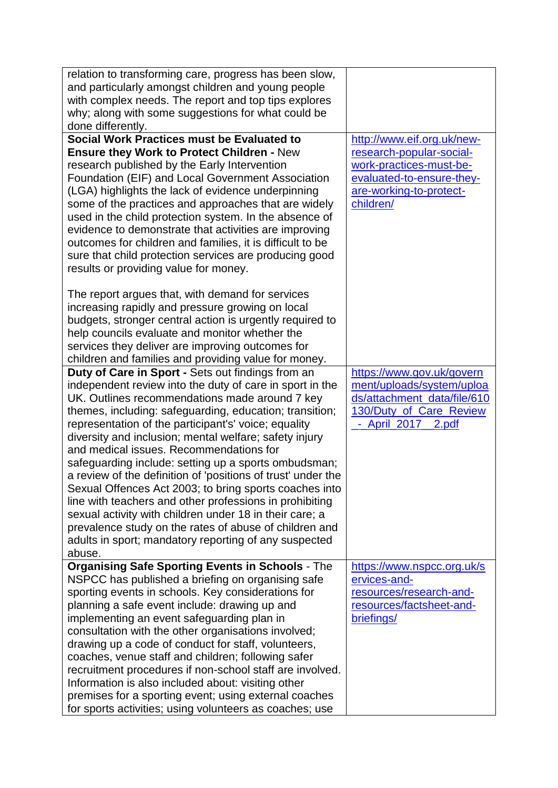| relation to transforming care, progress has been slow,       |                             |
|--------------------------------------------------------------|-----------------------------|
| and particularly amongst children and young people           |                             |
| with complex needs. The report and top tips explores         |                             |
| why; along with some suggestions for what could be           |                             |
| done differently.                                            |                             |
| Social Work Practices must be Evaluated to                   | http://www.eif.org.uk/new-  |
| <b>Ensure they Work to Protect Children - New</b>            | research-popular-social-    |
| research published by the Early Intervention                 | work-practices-must-be-     |
| Foundation (EIF) and Local Government Association            | evaluated-to-ensure-they-   |
| (LGA) highlights the lack of evidence underpinning           | are-working-to-protect-     |
| some of the practices and approaches that are widely         | children/                   |
| used in the child protection system. In the absence of       |                             |
| evidence to demonstrate that activities are improving        |                             |
| outcomes for children and families, it is difficult to be    |                             |
|                                                              |                             |
| sure that child protection services are producing good       |                             |
| results or providing value for money.                        |                             |
|                                                              |                             |
| The report argues that, with demand for services             |                             |
| increasing rapidly and pressure growing on local             |                             |
| budgets, stronger central action is urgently required to     |                             |
| help councils evaluate and monitor whether the               |                             |
| services they deliver are improving outcomes for             |                             |
| children and families and providing value for money.         |                             |
| Duty of Care in Sport - Sets out findings from an            | https://www.gov.uk/govern   |
| independent review into the duty of care in sport in the     | ment/uploads/system/uploa   |
| UK. Outlines recommendations made around 7 key               | ds/attachment_data/file/610 |
| themes, including: safeguarding, education; transition;      | 130/Duty_of_Care_Review     |
| representation of the participant's' voice; equality         | - April 2017 2.pdf          |
| diversity and inclusion; mental welfare; safety injury       |                             |
| and medical issues. Recommendations for                      |                             |
| safeguarding include: setting up a sports ombudsman;         |                             |
| a review of the definition of 'positions of trust' under the |                             |
| Sexual Offences Act 2003; to bring sports coaches into       |                             |
| line with teachers and other professions in prohibiting      |                             |
| sexual activity with children under 18 in their care; a      |                             |
| prevalence study on the rates of abuse of children and       |                             |
| adults in sport; mandatory reporting of any suspected        |                             |
| abuse.                                                       |                             |
| <b>Organising Safe Sporting Events in Schools - The</b>      | https://www.nspcc.org.uk/s  |
| NSPCC has published a briefing on organising safe            | ervices-and-                |
| sporting events in schools. Key considerations for           | resources/research-and-     |
| planning a safe event include: drawing up and                | resources/factsheet-and-    |
| implementing an event safeguarding plan in                   | briefings/                  |
| consultation with the other organisations involved;          |                             |
| drawing up a code of conduct for staff, volunteers,          |                             |
| coaches, venue staff and children; following safer           |                             |
| recruitment procedures if non-school staff are involved.     |                             |
| Information is also included about: visiting other           |                             |
| premises for a sporting event; using external coaches        |                             |
| for sports activities; using volunteers as coaches; use      |                             |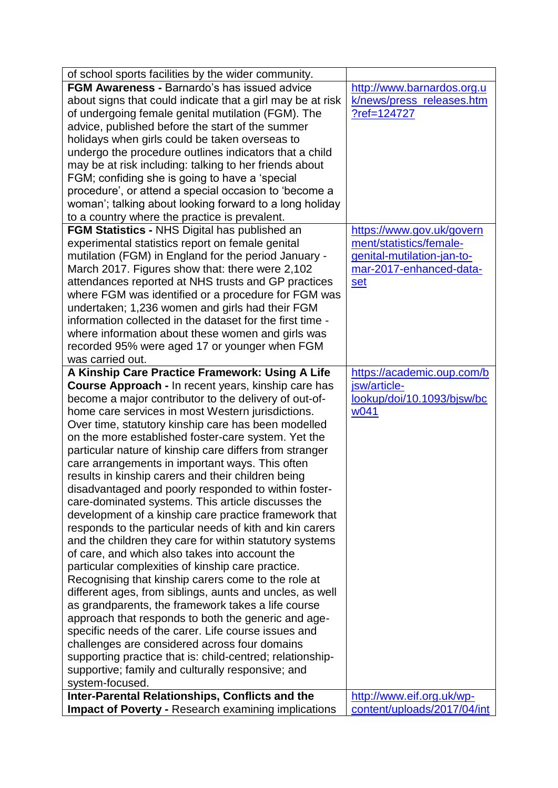| of school sports facilities by the wider community.                                                           |                                                          |
|---------------------------------------------------------------------------------------------------------------|----------------------------------------------------------|
| FGM Awareness - Barnardo's has issued advice                                                                  | http://www.barnardos.org.u                               |
| about signs that could indicate that a girl may be at risk                                                    | k/news/press_releases.htm                                |
| of undergoing female genital mutilation (FGM). The                                                            | ?ref=124727                                              |
| advice, published before the start of the summer                                                              |                                                          |
| holidays when girls could be taken overseas to                                                                |                                                          |
| undergo the procedure outlines indicators that a child                                                        |                                                          |
| may be at risk including: talking to her friends about                                                        |                                                          |
| FGM; confiding she is going to have a 'special                                                                |                                                          |
| procedure', or attend a special occasion to 'become a                                                         |                                                          |
| woman'; talking about looking forward to a long holiday                                                       |                                                          |
| to a country where the practice is prevalent.                                                                 |                                                          |
| <b>FGM Statistics - NHS Digital has published an</b>                                                          | https://www.gov.uk/govern                                |
| experimental statistics report on female genital                                                              | ment/statistics/female-                                  |
| mutilation (FGM) in England for the period January -                                                          | genital-mutilation-jan-to-                               |
| March 2017. Figures show that: there were 2,102                                                               | mar-2017-enhanced-data-                                  |
| attendances reported at NHS trusts and GP practices                                                           | set                                                      |
| where FGM was identified or a procedure for FGM was                                                           |                                                          |
| undertaken; 1,236 women and girls had their FGM                                                               |                                                          |
| information collected in the dataset for the first time -                                                     |                                                          |
| where information about these women and girls was                                                             |                                                          |
| recorded 95% were aged 17 or younger when FGM                                                                 |                                                          |
| was carried out.                                                                                              |                                                          |
| A Kinship Care Practice Framework: Using A Life                                                               | https://academic.oup.com/b                               |
| <b>Course Approach - In recent years, kinship care has</b>                                                    | jsw/article-                                             |
| become a major contributor to the delivery of out-of-                                                         | lookup/doi/10.1093/bjsw/bc                               |
| home care services in most Western jurisdictions.                                                             | w041                                                     |
| Over time, statutory kinship care has been modelled                                                           |                                                          |
| on the more established foster-care system. Yet the                                                           |                                                          |
| particular nature of kinship care differs from stranger                                                       |                                                          |
| care arrangements in important ways. This often                                                               |                                                          |
| results in kinship carers and their children being                                                            |                                                          |
| disadvantaged and poorly responded to within foster-                                                          |                                                          |
| care-dominated systems. This article discusses the                                                            |                                                          |
| development of a kinship care practice framework that                                                         |                                                          |
| responds to the particular needs of kith and kin carers                                                       |                                                          |
| and the children they care for within statutory systems                                                       |                                                          |
| of care, and which also takes into account the                                                                |                                                          |
| particular complexities of kinship care practice.                                                             |                                                          |
| Recognising that kinship carers come to the role at                                                           |                                                          |
| different ages, from siblings, aunts and uncles, as well                                                      |                                                          |
| as grandparents, the framework takes a life course                                                            |                                                          |
| approach that responds to both the generic and age-                                                           |                                                          |
| specific needs of the carer. Life course issues and                                                           |                                                          |
| challenges are considered across four domains                                                                 |                                                          |
| supporting practice that is: child-centred; relationship-                                                     |                                                          |
| supportive; family and culturally responsive; and                                                             |                                                          |
| system-focused.                                                                                               |                                                          |
|                                                                                                               |                                                          |
| Inter-Parental Relationships, Conflicts and the<br><b>Impact of Poverty - Research examining implications</b> | http://www.eif.org.uk/wp-<br>content/uploads/2017/04/int |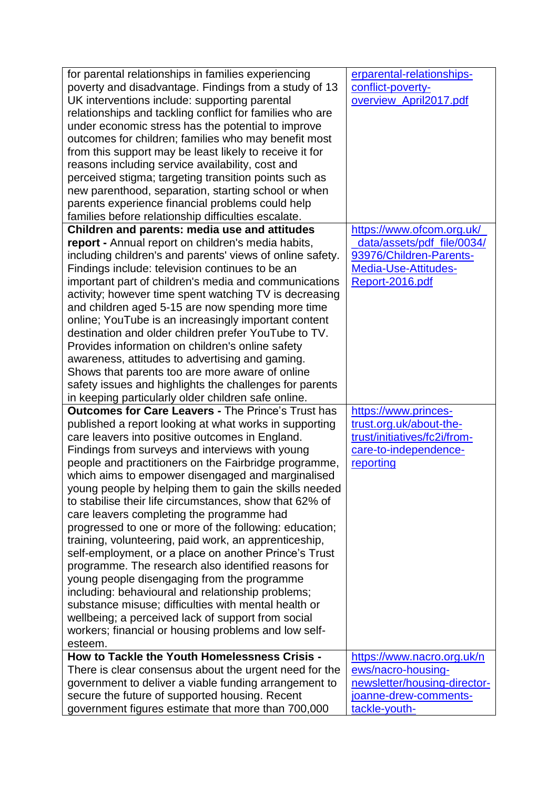| for parental relationships in families experiencing                | erparental-relationships-    |
|--------------------------------------------------------------------|------------------------------|
| poverty and disadvantage. Findings from a study of 13              | conflict-poverty-            |
| UK interventions include: supporting parental                      | overview_April2017.pdf       |
| relationships and tackling conflict for families who are           |                              |
| under economic stress has the potential to improve                 |                              |
| outcomes for children; families who may benefit most               |                              |
| from this support may be least likely to receive it for            |                              |
| reasons including service availability, cost and                   |                              |
| perceived stigma; targeting transition points such as              |                              |
| new parenthood, separation, starting school or when                |                              |
| parents experience financial problems could help                   |                              |
| families before relationship difficulties escalate.                |                              |
| Children and parents: media use and attitudes                      | https://www.ofcom.org.uk/    |
| report - Annual report on children's media habits,                 | data/assets/pdf_file/0034/   |
| including children's and parents' views of online safety.          | 93976/Children-Parents-      |
| Findings include: television continues to be an                    | Media-Use-Attitudes-         |
| important part of children's media and communications              | Report-2016.pdf              |
| activity; however time spent watching TV is decreasing             |                              |
| and children aged 5-15 are now spending more time                  |                              |
| online; YouTube is an increasingly important content               |                              |
| destination and older children prefer YouTube to TV.               |                              |
| Provides information on children's online safety                   |                              |
| awareness, attitudes to advertising and gaming.                    |                              |
| Shows that parents too are more aware of online                    |                              |
| safety issues and highlights the challenges for parents            |                              |
| in keeping particularly older children safe online.                |                              |
| <b>Outcomes for Care Leavers - The Prince's Trust has</b>          | https://www.princes-         |
| published a report looking at what works in supporting             | trust.org.uk/about-the-      |
| care leavers into positive outcomes in England.                    | trust/initiatives/fc2i/from- |
| Findings from surveys and interviews with young                    | care-to-independence-        |
| people and practitioners on the Fairbridge programme,<br>reporting |                              |
| which aims to empower disengaged and marginalised                  |                              |
| young people by helping them to gain the skills needed             |                              |
| to stabilise their life circumstances, show that 62% of            |                              |
| care leavers completing the programme had                          |                              |
| progressed to one or more of the following: education;             |                              |
| training, volunteering, paid work, an apprenticeship,              |                              |
| self-employment, or a place on another Prince's Trust              |                              |
| programme. The research also identified reasons for                |                              |
| young people disengaging from the programme                        |                              |
| including: behavioural and relationship problems;                  |                              |
| substance misuse; difficulties with mental health or               |                              |
| wellbeing; a perceived lack of support from social                 |                              |
| workers; financial or housing problems and low self-               |                              |
| esteem.                                                            |                              |
| How to Tackle the Youth Homelessness Crisis -                      | https://www.nacro.org.uk/n   |
| There is clear consensus about the urgent need for the             | ews/nacro-housing-           |
| government to deliver a viable funding arrangement to              | newsletter/housing-director- |
| secure the future of supported housing. Recent                     | joanne-drew-comments-        |
| government figures estimate that more than 700,000                 | tackle-youth-                |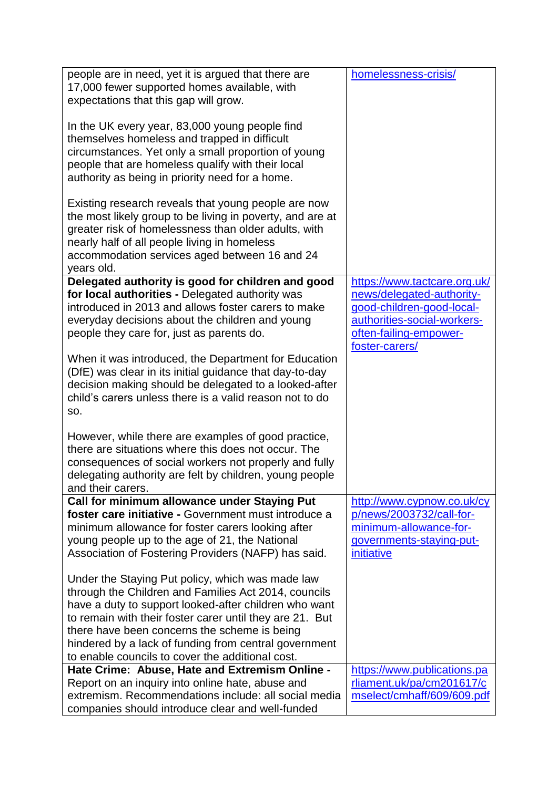| expectations that this gap will grow.<br>In the UK every year, 83,000 young people find<br>themselves homeless and trapped in difficult<br>circumstances. Yet only a small proportion of young<br>people that are homeless qualify with their local<br>authority as being in priority need for a home.<br>Existing research reveals that young people are now<br>the most likely group to be living in poverty, and are at<br>greater risk of homelessness than older adults, with<br>nearly half of all people living in homeless<br>accommodation services aged between 16 and 24<br>years old.<br>Delegated authority is good for children and good<br>https://www.tactcare.org.uk/<br>for local authorities - Delegated authority was<br>news/delegated-authority-<br>introduced in 2013 and allows foster carers to make<br>good-children-good-local-<br>authorities-social-workers-<br>everyday decisions about the children and young<br>often-failing-empower-<br>people they care for, just as parents do.<br>foster-carers/<br>When it was introduced, the Department for Education<br>(DfE) was clear in its initial guidance that day-to-day<br>decision making should be delegated to a looked-after<br>child's carers unless there is a valid reason not to do<br>SO.<br>However, while there are examples of good practice, |
|--------------------------------------------------------------------------------------------------------------------------------------------------------------------------------------------------------------------------------------------------------------------------------------------------------------------------------------------------------------------------------------------------------------------------------------------------------------------------------------------------------------------------------------------------------------------------------------------------------------------------------------------------------------------------------------------------------------------------------------------------------------------------------------------------------------------------------------------------------------------------------------------------------------------------------------------------------------------------------------------------------------------------------------------------------------------------------------------------------------------------------------------------------------------------------------------------------------------------------------------------------------------------------------------------------------------------------------------|
|                                                                                                                                                                                                                                                                                                                                                                                                                                                                                                                                                                                                                                                                                                                                                                                                                                                                                                                                                                                                                                                                                                                                                                                                                                                                                                                                            |
|                                                                                                                                                                                                                                                                                                                                                                                                                                                                                                                                                                                                                                                                                                                                                                                                                                                                                                                                                                                                                                                                                                                                                                                                                                                                                                                                            |
|                                                                                                                                                                                                                                                                                                                                                                                                                                                                                                                                                                                                                                                                                                                                                                                                                                                                                                                                                                                                                                                                                                                                                                                                                                                                                                                                            |
|                                                                                                                                                                                                                                                                                                                                                                                                                                                                                                                                                                                                                                                                                                                                                                                                                                                                                                                                                                                                                                                                                                                                                                                                                                                                                                                                            |
|                                                                                                                                                                                                                                                                                                                                                                                                                                                                                                                                                                                                                                                                                                                                                                                                                                                                                                                                                                                                                                                                                                                                                                                                                                                                                                                                            |
|                                                                                                                                                                                                                                                                                                                                                                                                                                                                                                                                                                                                                                                                                                                                                                                                                                                                                                                                                                                                                                                                                                                                                                                                                                                                                                                                            |
|                                                                                                                                                                                                                                                                                                                                                                                                                                                                                                                                                                                                                                                                                                                                                                                                                                                                                                                                                                                                                                                                                                                                                                                                                                                                                                                                            |
|                                                                                                                                                                                                                                                                                                                                                                                                                                                                                                                                                                                                                                                                                                                                                                                                                                                                                                                                                                                                                                                                                                                                                                                                                                                                                                                                            |
|                                                                                                                                                                                                                                                                                                                                                                                                                                                                                                                                                                                                                                                                                                                                                                                                                                                                                                                                                                                                                                                                                                                                                                                                                                                                                                                                            |
|                                                                                                                                                                                                                                                                                                                                                                                                                                                                                                                                                                                                                                                                                                                                                                                                                                                                                                                                                                                                                                                                                                                                                                                                                                                                                                                                            |
|                                                                                                                                                                                                                                                                                                                                                                                                                                                                                                                                                                                                                                                                                                                                                                                                                                                                                                                                                                                                                                                                                                                                                                                                                                                                                                                                            |
|                                                                                                                                                                                                                                                                                                                                                                                                                                                                                                                                                                                                                                                                                                                                                                                                                                                                                                                                                                                                                                                                                                                                                                                                                                                                                                                                            |
|                                                                                                                                                                                                                                                                                                                                                                                                                                                                                                                                                                                                                                                                                                                                                                                                                                                                                                                                                                                                                                                                                                                                                                                                                                                                                                                                            |
|                                                                                                                                                                                                                                                                                                                                                                                                                                                                                                                                                                                                                                                                                                                                                                                                                                                                                                                                                                                                                                                                                                                                                                                                                                                                                                                                            |
| there are situations where this does not occur. The                                                                                                                                                                                                                                                                                                                                                                                                                                                                                                                                                                                                                                                                                                                                                                                                                                                                                                                                                                                                                                                                                                                                                                                                                                                                                        |
| consequences of social workers not properly and fully                                                                                                                                                                                                                                                                                                                                                                                                                                                                                                                                                                                                                                                                                                                                                                                                                                                                                                                                                                                                                                                                                                                                                                                                                                                                                      |
| delegating authority are felt by children, young people                                                                                                                                                                                                                                                                                                                                                                                                                                                                                                                                                                                                                                                                                                                                                                                                                                                                                                                                                                                                                                                                                                                                                                                                                                                                                    |
| and their carers.                                                                                                                                                                                                                                                                                                                                                                                                                                                                                                                                                                                                                                                                                                                                                                                                                                                                                                                                                                                                                                                                                                                                                                                                                                                                                                                          |
| <b>Call for minimum allowance under Staying Put</b><br>http://www.cypnow.co.uk/cy                                                                                                                                                                                                                                                                                                                                                                                                                                                                                                                                                                                                                                                                                                                                                                                                                                                                                                                                                                                                                                                                                                                                                                                                                                                          |
| foster care initiative - Government must introduce a<br>p/news/2003732/call-for-                                                                                                                                                                                                                                                                                                                                                                                                                                                                                                                                                                                                                                                                                                                                                                                                                                                                                                                                                                                                                                                                                                                                                                                                                                                           |
| minimum-allowance-for-<br>minimum allowance for foster carers looking after                                                                                                                                                                                                                                                                                                                                                                                                                                                                                                                                                                                                                                                                                                                                                                                                                                                                                                                                                                                                                                                                                                                                                                                                                                                                |
| young people up to the age of 21, the National<br>governments-staying-put-                                                                                                                                                                                                                                                                                                                                                                                                                                                                                                                                                                                                                                                                                                                                                                                                                                                                                                                                                                                                                                                                                                                                                                                                                                                                 |
| Association of Fostering Providers (NAFP) has said.<br><i>initiative</i>                                                                                                                                                                                                                                                                                                                                                                                                                                                                                                                                                                                                                                                                                                                                                                                                                                                                                                                                                                                                                                                                                                                                                                                                                                                                   |
| Under the Staying Put policy, which was made law                                                                                                                                                                                                                                                                                                                                                                                                                                                                                                                                                                                                                                                                                                                                                                                                                                                                                                                                                                                                                                                                                                                                                                                                                                                                                           |
| through the Children and Families Act 2014, councils                                                                                                                                                                                                                                                                                                                                                                                                                                                                                                                                                                                                                                                                                                                                                                                                                                                                                                                                                                                                                                                                                                                                                                                                                                                                                       |
| have a duty to support looked-after children who want                                                                                                                                                                                                                                                                                                                                                                                                                                                                                                                                                                                                                                                                                                                                                                                                                                                                                                                                                                                                                                                                                                                                                                                                                                                                                      |
| to remain with their foster carer until they are 21. But                                                                                                                                                                                                                                                                                                                                                                                                                                                                                                                                                                                                                                                                                                                                                                                                                                                                                                                                                                                                                                                                                                                                                                                                                                                                                   |
| there have been concerns the scheme is being                                                                                                                                                                                                                                                                                                                                                                                                                                                                                                                                                                                                                                                                                                                                                                                                                                                                                                                                                                                                                                                                                                                                                                                                                                                                                               |
| hindered by a lack of funding from central government                                                                                                                                                                                                                                                                                                                                                                                                                                                                                                                                                                                                                                                                                                                                                                                                                                                                                                                                                                                                                                                                                                                                                                                                                                                                                      |
| to enable councils to cover the additional cost.                                                                                                                                                                                                                                                                                                                                                                                                                                                                                                                                                                                                                                                                                                                                                                                                                                                                                                                                                                                                                                                                                                                                                                                                                                                                                           |
| Hate Crime: Abuse, Hate and Extremism Online -<br>https://www.publications.pa                                                                                                                                                                                                                                                                                                                                                                                                                                                                                                                                                                                                                                                                                                                                                                                                                                                                                                                                                                                                                                                                                                                                                                                                                                                              |
| rliament.uk/pa/cm201617/c<br>Report on an inquiry into online hate, abuse and<br>extremism. Recommendations include: all social media                                                                                                                                                                                                                                                                                                                                                                                                                                                                                                                                                                                                                                                                                                                                                                                                                                                                                                                                                                                                                                                                                                                                                                                                      |
| mselect/cmhaff/609/609.pdf<br>companies should introduce clear and well-funded                                                                                                                                                                                                                                                                                                                                                                                                                                                                                                                                                                                                                                                                                                                                                                                                                                                                                                                                                                                                                                                                                                                                                                                                                                                             |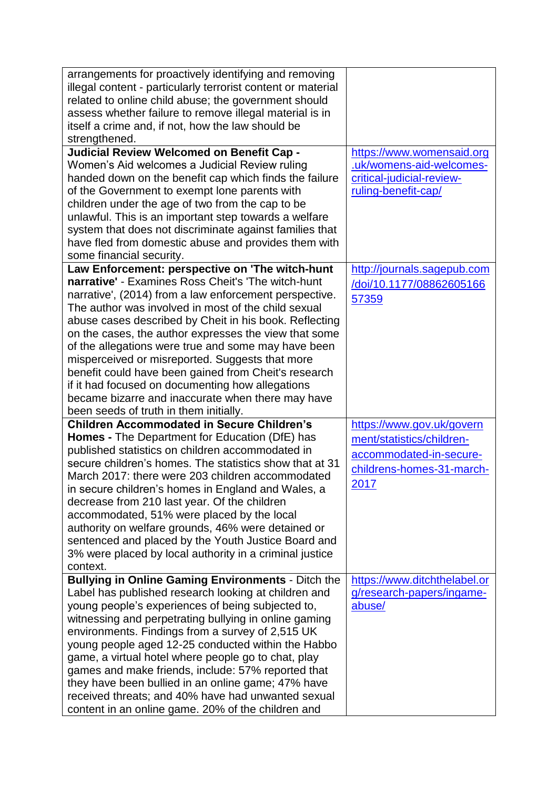| arrangements for proactively identifying and removing<br>illegal content - particularly terrorist content or material<br>related to online child abuse; the government should<br>assess whether failure to remove illegal material is in<br>itself a crime and, if not, how the law should be<br>strengthened.<br><b>Judicial Review Welcomed on Benefit Cap -</b>                                                                                                                                                                                                                                                                                             | https://www.womensaid.org                                                                                              |
|----------------------------------------------------------------------------------------------------------------------------------------------------------------------------------------------------------------------------------------------------------------------------------------------------------------------------------------------------------------------------------------------------------------------------------------------------------------------------------------------------------------------------------------------------------------------------------------------------------------------------------------------------------------|------------------------------------------------------------------------------------------------------------------------|
| Women's Aid welcomes a Judicial Review ruling<br>handed down on the benefit cap which finds the failure<br>of the Government to exempt lone parents with<br>children under the age of two from the cap to be<br>unlawful. This is an important step towards a welfare<br>system that does not discriminate against families that<br>have fled from domestic abuse and provides them with<br>some financial security.                                                                                                                                                                                                                                           | .uk/womens-aid-welcomes-<br>critical-judicial-review-<br>ruling-benefit-cap/                                           |
| Law Enforcement: perspective on 'The witch-hunt<br>narrative' - Examines Ross Cheit's 'The witch-hunt<br>narrative', (2014) from a law enforcement perspective.<br>The author was involved in most of the child sexual<br>abuse cases described by Cheit in his book. Reflecting<br>on the cases, the author expresses the view that some<br>of the allegations were true and some may have been<br>misperceived or misreported. Suggests that more<br>benefit could have been gained from Cheit's research<br>if it had focused on documenting how allegations<br>became bizarre and inaccurate when there may have<br>been seeds of truth in them initially. | http://journals.sagepub.com<br>/doi/10.1177/08862605166<br>57359                                                       |
| <b>Children Accommodated in Secure Children's</b><br><b>Homes - The Department for Education (DfE) has</b><br>published statistics on children accommodated in<br>secure children's homes. The statistics show that at 31<br>March 2017: there were 203 children accommodated<br>in secure children's homes in England and Wales, a<br>decrease from 210 last year. Of the children<br>accommodated, 51% were placed by the local<br>authority on welfare grounds, 46% were detained or<br>sentenced and placed by the Youth Justice Board and<br>3% were placed by local authority in a criminal justice<br>context.                                          | https://www.gov.uk/govern<br>ment/statistics/children-<br>accommodated-in-secure-<br>childrens-homes-31-march-<br>2017 |
| <b>Bullying in Online Gaming Environments - Ditch the</b><br>Label has published research looking at children and<br>young people's experiences of being subjected to,<br>witnessing and perpetrating bullying in online gaming<br>environments. Findings from a survey of 2,515 UK<br>young people aged 12-25 conducted within the Habbo<br>game, a virtual hotel where people go to chat, play<br>games and make friends, include: 57% reported that<br>they have been bullied in an online game; 47% have<br>received threats; and 40% have had unwanted sexual<br>content in an online game. 20% of the children and                                       | https://www.ditchthelabel.or<br>g/research-papers/ingame-<br>abuse/                                                    |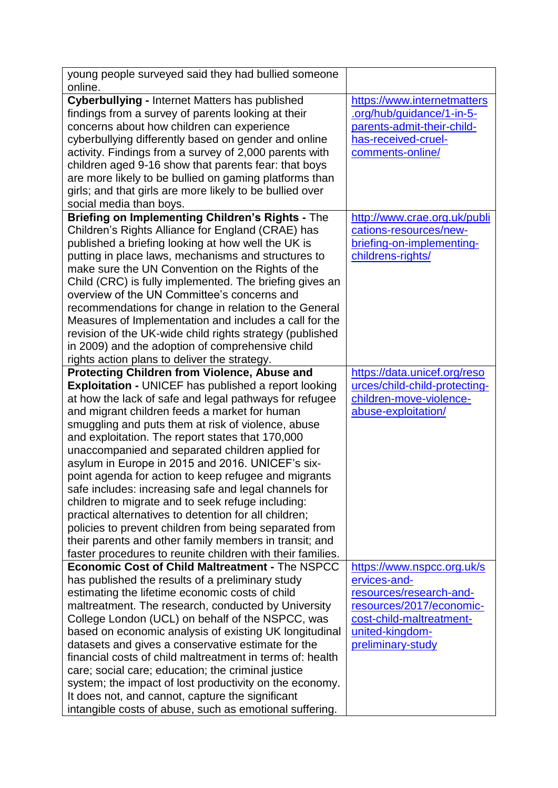| young people surveyed said they had bullied someone<br>online.                                                                                                                                                                                                                                                                                                                                                                                                                                                                                                                                                                                                                                                                                                                                                                                                   |                                                                                                                                                                       |
|------------------------------------------------------------------------------------------------------------------------------------------------------------------------------------------------------------------------------------------------------------------------------------------------------------------------------------------------------------------------------------------------------------------------------------------------------------------------------------------------------------------------------------------------------------------------------------------------------------------------------------------------------------------------------------------------------------------------------------------------------------------------------------------------------------------------------------------------------------------|-----------------------------------------------------------------------------------------------------------------------------------------------------------------------|
| <b>Cyberbullying - Internet Matters has published</b><br>findings from a survey of parents looking at their<br>concerns about how children can experience<br>cyberbullying differently based on gender and online<br>activity. Findings from a survey of 2,000 parents with<br>children aged 9-16 show that parents fear: that boys<br>are more likely to be bullied on gaming platforms than<br>girls; and that girls are more likely to be bullied over                                                                                                                                                                                                                                                                                                                                                                                                        | https://www.internetmatters<br>.org/hub/guidance/1-in-5-<br>parents-admit-their-child-<br>has-received-cruel-<br>comments-online/                                     |
| social media than boys.                                                                                                                                                                                                                                                                                                                                                                                                                                                                                                                                                                                                                                                                                                                                                                                                                                          |                                                                                                                                                                       |
| Briefing on Implementing Children's Rights - The<br>Children's Rights Alliance for England (CRAE) has<br>published a briefing looking at how well the UK is<br>putting in place laws, mechanisms and structures to<br>make sure the UN Convention on the Rights of the<br>Child (CRC) is fully implemented. The briefing gives an<br>overview of the UN Committee's concerns and<br>recommendations for change in relation to the General<br>Measures of Implementation and includes a call for the<br>revision of the UK-wide child rights strategy (published<br>in 2009) and the adoption of comprehensive child<br>rights action plans to deliver the strategy.                                                                                                                                                                                              | http://www.crae.org.uk/publi<br>cations-resources/new-<br>briefing-on-implementing-<br>childrens-rights/                                                              |
| <b>Protecting Children from Violence, Abuse and</b><br><b>Exploitation - UNICEF has published a report looking</b><br>at how the lack of safe and legal pathways for refugee<br>and migrant children feeds a market for human<br>smuggling and puts them at risk of violence, abuse<br>and exploitation. The report states that 170,000<br>unaccompanied and separated children applied for<br>asylum in Europe in 2015 and 2016. UNICEF's six-<br>point agenda for action to keep refugee and migrants<br>safe includes: increasing safe and legal channels for<br>children to migrate and to seek refuge including:<br>practical alternatives to detention for all children;<br>policies to prevent children from being separated from<br>their parents and other family members in transit; and<br>faster procedures to reunite children with their families. | https://data.unicef.org/reso<br>urces/child-child-protecting-<br>children-move-violence-<br>abuse-exploitation/                                                       |
| <b>Economic Cost of Child Maltreatment - The NSPCC</b><br>has published the results of a preliminary study<br>estimating the lifetime economic costs of child<br>maltreatment. The research, conducted by University<br>College London (UCL) on behalf of the NSPCC, was<br>based on economic analysis of existing UK longitudinal<br>datasets and gives a conservative estimate for the<br>financial costs of child maltreatment in terms of: health<br>care; social care; education; the criminal justice<br>system; the impact of lost productivity on the economy.<br>It does not, and cannot, capture the significant<br>intangible costs of abuse, such as emotional suffering.                                                                                                                                                                            | https://www.nspcc.org.uk/s<br>ervices-and-<br>resources/research-and-<br>resources/2017/economic-<br>cost-child-maltreatment-<br>united-kingdom-<br>preliminary-study |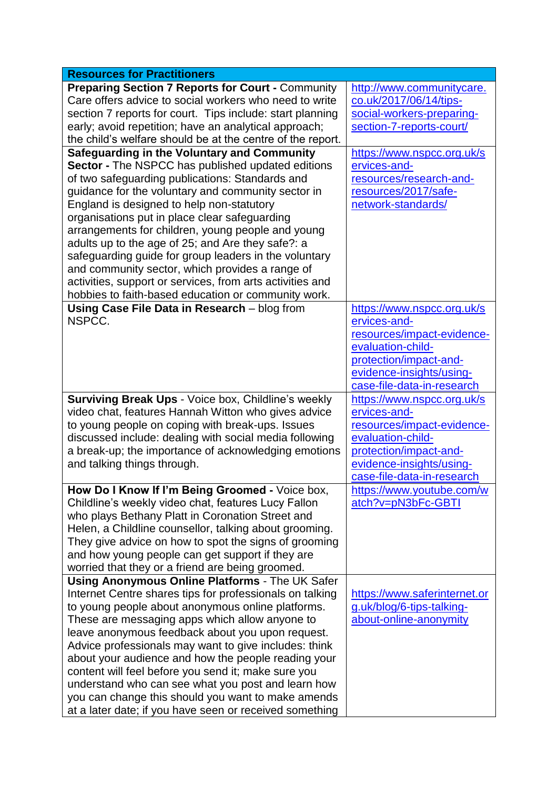| <b>Resources for Practitioners</b>                                                                            |                              |
|---------------------------------------------------------------------------------------------------------------|------------------------------|
| <b>Preparing Section 7 Reports for Court - Community</b>                                                      | http://www.communitycare.    |
| Care offers advice to social workers who need to write                                                        | co.uk/2017/06/14/tips-       |
| section 7 reports for court. Tips include: start planning                                                     | social-workers-preparing-    |
| early; avoid repetition; have an analytical approach;                                                         | section-7-reports-court/     |
| the child's welfare should be at the centre of the report.                                                    |                              |
| Safeguarding in the Voluntary and Community                                                                   | https://www.nspcc.org.uk/s   |
| Sector - The NSPCC has published updated editions                                                             | ervices-and-                 |
| of two safeguarding publications: Standards and                                                               | resources/research-and-      |
| guidance for the voluntary and community sector in                                                            | resources/2017/safe-         |
| England is designed to help non-statutory                                                                     | network-standards/           |
| organisations put in place clear safeguarding                                                                 |                              |
| arrangements for children, young people and young                                                             |                              |
| adults up to the age of 25; and Are they safe?: a                                                             |                              |
| safeguarding guide for group leaders in the voluntary                                                         |                              |
| and community sector, which provides a range of                                                               |                              |
| activities, support or services, from arts activities and                                                     |                              |
| hobbies to faith-based education or community work.                                                           |                              |
| Using Case File Data in Research - blog from                                                                  | https://www.nspcc.org.uk/s   |
| NSPCC.                                                                                                        | ervices-and-                 |
|                                                                                                               | resources/impact-evidence-   |
|                                                                                                               | evaluation-child-            |
|                                                                                                               | protection/impact-and-       |
|                                                                                                               | evidence-insights/using-     |
|                                                                                                               | case-file-data-in-research   |
| <b>Surviving Break Ups - Voice box, Childline's weekly</b>                                                    | https://www.nspcc.org.uk/s   |
| video chat, features Hannah Witton who gives advice                                                           | ervices-and-                 |
| to young people on coping with break-ups. Issues                                                              | resources/impact-evidence-   |
|                                                                                                               |                              |
|                                                                                                               |                              |
| discussed include: dealing with social media following                                                        | evaluation-child-            |
| a break-up; the importance of acknowledging emotions                                                          | protection/impact-and-       |
| and talking things through.                                                                                   | evidence-insights/using-     |
|                                                                                                               | case-file-data-in-research   |
| How Do I Know If I'm Being Groomed - Voice box,                                                               | https://www.youtube.com/w    |
| Childline's weekly video chat, features Lucy Fallon                                                           | atch?v=pN3bFc-GBTI           |
| who plays Bethany Platt in Coronation Street and                                                              |                              |
| Helen, a Childline counsellor, talking about grooming.                                                        |                              |
| They give advice on how to spot the signs of grooming                                                         |                              |
| and how young people can get support if they are                                                              |                              |
| worried that they or a friend are being groomed.                                                              |                              |
| <b>Using Anonymous Online Platforms - The UK Safer</b>                                                        |                              |
| Internet Centre shares tips for professionals on talking                                                      | https://www.saferinternet.or |
| to young people about anonymous online platforms.                                                             | g.uk/blog/6-tips-talking-    |
| These are messaging apps which allow anyone to                                                                | about-online-anonymity       |
| leave anonymous feedback about you upon request.                                                              |                              |
| Advice professionals may want to give includes: think                                                         |                              |
| about your audience and how the people reading your                                                           |                              |
| content will feel before you send it; make sure you                                                           |                              |
| understand who can see what you post and learn how                                                            |                              |
| you can change this should you want to make amends<br>at a later date; if you have seen or received something |                              |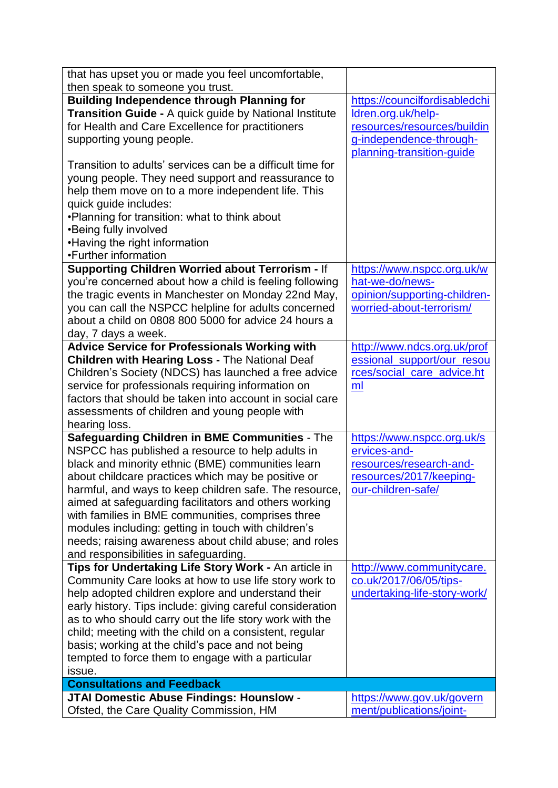| that has upset you or made you feel uncomfortable,                                                          |                                                     |
|-------------------------------------------------------------------------------------------------------------|-----------------------------------------------------|
| then speak to someone you trust.                                                                            |                                                     |
| <b>Building Independence through Planning for</b><br>Transition Guide - A quick guide by National Institute | https://councilfordisabledchi<br>Idren.org.uk/help- |
| for Health and Care Excellence for practitioners                                                            | resources/resources/buildin                         |
| supporting young people.                                                                                    | g-independence-through-                             |
|                                                                                                             | planning-transition-guide                           |
| Transition to adults' services can be a difficult time for                                                  |                                                     |
| young people. They need support and reassurance to                                                          |                                                     |
| help them move on to a more independent life. This                                                          |                                                     |
| quick guide includes:                                                                                       |                                                     |
| . Planning for transition: what to think about                                                              |                                                     |
| •Being fully involved                                                                                       |                                                     |
| •Having the right information                                                                               |                                                     |
| •Further information                                                                                        |                                                     |
| Supporting Children Worried about Terrorism - If                                                            | https://www.nspcc.org.uk/w                          |
| you're concerned about how a child is feeling following                                                     | hat-we-do/news-                                     |
| the tragic events in Manchester on Monday 22nd May,                                                         | opinion/supporting-children-                        |
| you can call the NSPCC helpline for adults concerned                                                        | worried-about-terrorism/                            |
| about a child on 0808 800 5000 for advice 24 hours a                                                        |                                                     |
| day, 7 days a week.                                                                                         |                                                     |
| <b>Advice Service for Professionals Working with</b>                                                        | http://www.ndcs.org.uk/prof                         |
| <b>Children with Hearing Loss - The National Deaf</b>                                                       | essional_support/our_resou                          |
| Children's Society (NDCS) has launched a free advice                                                        | rces/social_care_advice.ht                          |
| service for professionals requiring information on                                                          | ml                                                  |
| factors that should be taken into account in social care                                                    |                                                     |
| assessments of children and young people with                                                               |                                                     |
| hearing loss.                                                                                               |                                                     |
| Safeguarding Children in BME Communities - The                                                              | https://www.nspcc.org.uk/s                          |
| NSPCC has published a resource to help adults in                                                            | ervices-and-                                        |
| black and minority ethnic (BME) communities learn                                                           | resources/research-and-                             |
| about childcare practices which may be positive or                                                          | resources/2017/keeping-                             |
| harmful, and ways to keep children safe. The resource,                                                      | our-children-safe/                                  |
| aimed at safeguarding facilitators and others working                                                       |                                                     |
| with families in BME communities, comprises three                                                           |                                                     |
| modules including: getting in touch with children's                                                         |                                                     |
| needs; raising awareness about child abuse; and roles                                                       |                                                     |
| and responsibilities in safeguarding.                                                                       |                                                     |
| Tips for Undertaking Life Story Work - An article in                                                        | http://www.communitycare.                           |
| Community Care looks at how to use life story work to                                                       | co.uk/2017/06/05/tips-                              |
| help adopted children explore and understand their                                                          | undertaking-life-story-work/                        |
| early history. Tips include: giving careful consideration                                                   |                                                     |
| as to who should carry out the life story work with the                                                     |                                                     |
| child; meeting with the child on a consistent, regular                                                      |                                                     |
| basis; working at the child's pace and not being                                                            |                                                     |
| tempted to force them to engage with a particular                                                           |                                                     |
| issue.                                                                                                      |                                                     |
| <b>Consultations and Feedback</b>                                                                           |                                                     |
| <b>JTAI Domestic Abuse Findings: Hounslow -</b>                                                             | https://www.gov.uk/govern                           |
| Ofsted, the Care Quality Commission, HM                                                                     | ment/publications/joint-                            |